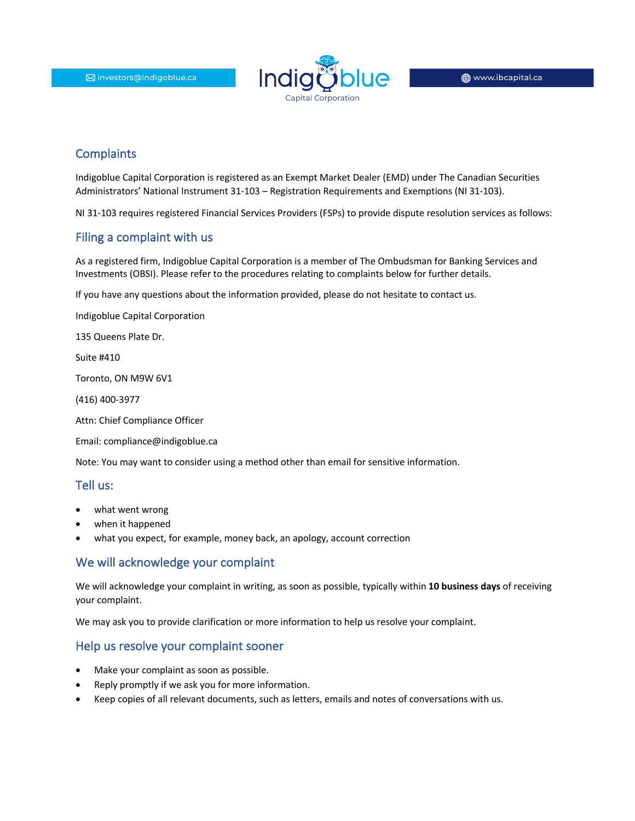

# **Complaints**

Indigoblue Capital Corporation is registered as an Exempt Market Dealer (EMD) under The Canadian Securities Administrators' National Instrument 31-103 – Registration Requirements and Exemptions (NI 31-103).

NI 31-103 requires registered Financial Services Providers (FSPs) to provide dispute resolution services as follows:

### Filing a complaint with us

As a registered firm, Indigoblue Capital Corporation is a member of The Ombudsman for Banking Services and Investments (OBSI). Please refer to the procedures relating to complaints below for further details.

If you have any questions about the information provided, please do not hesitate to contact us.

Indigoblue Capital Corporation

135 Queens Plate Dr.

Suite #410

Toronto, ON M9W 6V1

(416) 400-3977

Attn: Chief Compliance Officer

Email: compliance@indigoblue.ca

Note: You may want to consider using a method other than email for sensitive information.

#### Tell us:

- what went wrong
- when it happened
- what you expect, for example, money back, an apology, account correction

#### We will acknowledge your complaint

We will acknowledge your complaint in writing, as soon as possible, typically within **10 business days** of receiving your complaint.

We may ask you to provide clarification or more information to help us resolve your complaint.

### Help us resolve your complaint sooner

- Make your complaint as soon as possible.
- Reply promptly if we ask you for more information.
- Keep copies of all relevant documents, such as letters, emails and notes of conversations with us.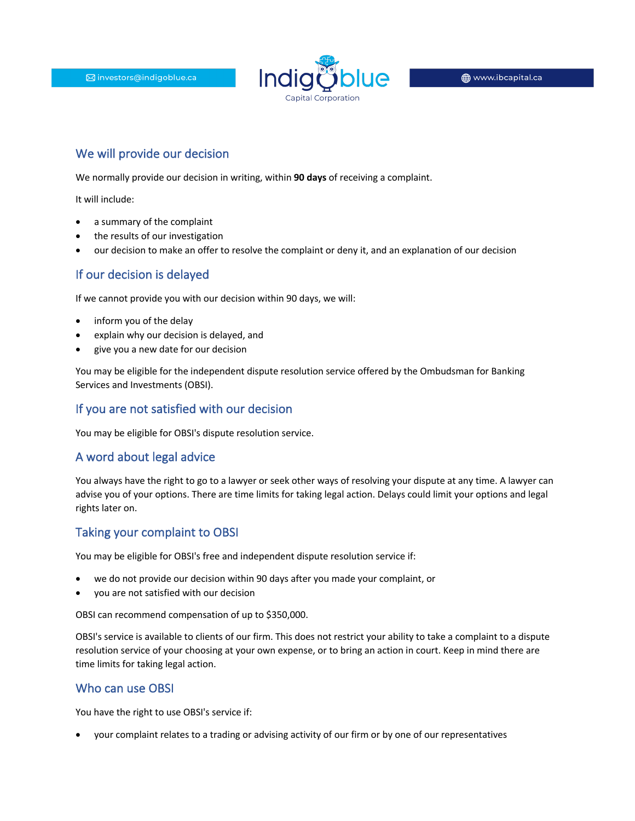

## We will provide our decision

We normally provide our decision in writing, within **90 days** of receiving a complaint.

It will include:

- a summary of the complaint
- the results of our investigation
- our decision to make an offer to resolve the complaint or deny it, and an explanation of our decision

### If our decision is delayed

If we cannot provide you with our decision within 90 days, we will:

- inform you of the delay
- explain why our decision is delayed, and
- give you a new date for our decision

You may be eligible for the independent dispute resolution service offered by the Ombudsman for Banking Services and Investments (OBSI).

### If you are not satisfied with our decision

You may be eligible for OBSI's dispute resolution service.

### A word about legal advice

You always have the right to go to a lawyer or seek other ways of resolving your dispute at any time. A lawyer can advise you of your options. There are time limits for taking legal action. Delays could limit your options and legal rights later on.

#### Taking your complaint to OBSI

You may be eligible for OBSI's free and independent dispute resolution service if:

- we do not provide our decision within 90 days after you made your complaint, or
- you are not satisfied with our decision

OBSI can recommend compensation of up to \$350,000.

OBSI's service is available to clients of our firm. This does not restrict your ability to take a complaint to a dispute resolution service of your choosing at your own expense, or to bring an action in court. Keep in mind there are time limits for taking legal action.

### Who can use OBSI

You have the right to use OBSI's service if:

• your complaint relates to a trading or advising activity of our firm or by one of our representatives